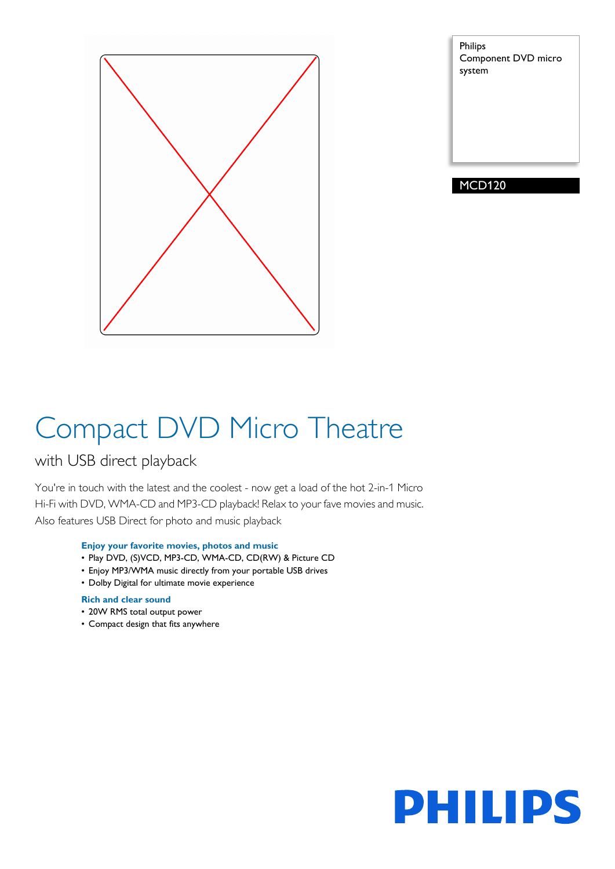

Philips Component DVD micro system

MCD120

# Compact DVD Micro Theatre

### with USB direct playback

You're in touch with the latest and the coolest - now get a load of the hot 2-in-1 Micro Hi-Fi with DVD, WMA-CD and MP3-CD playback! Relax to your fave movies and music. Also features USB Direct for photo and music playback

#### **Enjoy your favorite movies, photos and music**

- Play DVD, (S)VCD, MP3-CD, WMA-CD, CD(RW) & Picture CD
- Enjoy MP3/WMA music directly from your portable USB drives
- Dolby Digital for ultimate movie experience

#### **Rich and clear sound**

- 20W RMS total output power
- Compact design that fits anywhere